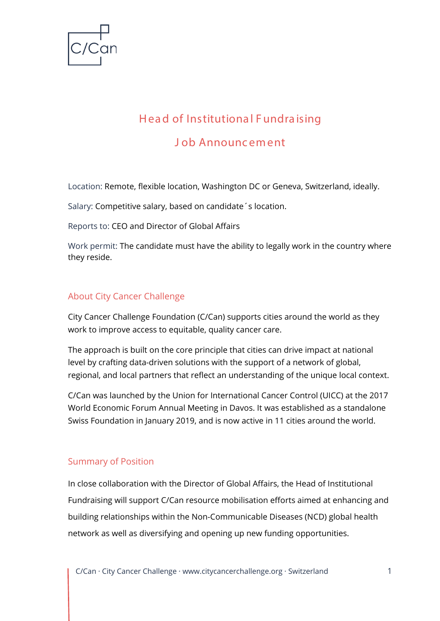

# H ea d of Institutiona l F undra ising J ob Announcement

Location: Remote, flexible location, Washington DC or Geneva, Switzerland, ideally.

Salary: Competitive salary, based on candidate´s location.

Reports to: CEO and Director of Global Affairs

Work permit: The candidate must have the ability to legally work in the country where they reside.

## About City Cancer Challenge

City Cancer Challenge Foundation (C/Can) supports cities around the world as they work to improve access to equitable, quality cancer care.

The approach is built on the core principle that cities can drive impact at national level by crafting data-driven solutions with the support of a network of global, regional, and local partners that reflect an understanding of the unique local context.

C/Can was launched by the Union for International Cancer Control (UICC) at the 2017 World Economic Forum Annual Meeting in Davos. It was established as a standalone Swiss Foundation in January 2019, and is now active in 11 cities around the world.

## Summary of Position

In close collaboration with the Director of Global Affairs, the Head of Institutional Fundraising will support C/Can resource mobilisation efforts aimed at enhancing and building relationships within the Non-Communicable Diseases (NCD) global health network as well as diversifying and opening up new funding opportunities.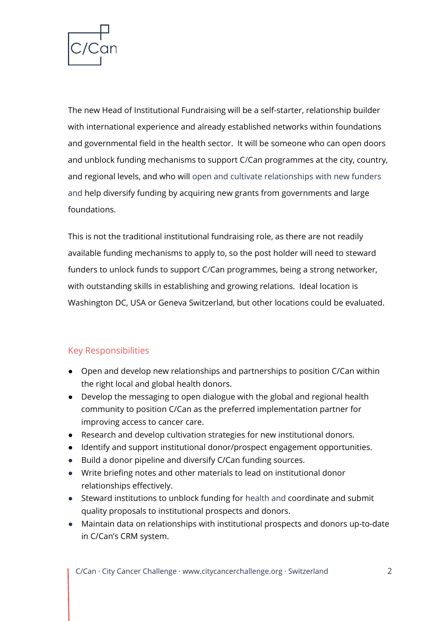

The new Head of Institutional Fundraising will be a self-starter, relationship builder with international experience and already established networks within foundations and governmental field in the health sector. It will be someone who can open doors and unblock funding mechanisms to support C/Can programmes at the city, country, and regional levels, and who will open and cultivate relationships with new funders and help diversify funding by acquiring new grants from governments and large foundations.

This is not the traditional institutional fundraising role, as there are not readily available funding mechanisms to apply to, so the post holder will need to steward funders to unlock funds to support C/Can programmes, being a strong networker, with outstanding skills in establishing and growing relations. Ideal location is Washington DC, USA or Geneva Switzerland, but other locations could be evaluated.

# Key Responsibilities

- Open and develop new relationships and partnerships to position C/Can within the right local and global health donors.
- Develop the messaging to open dialogue with the global and regional health community to position C/Can as the preferred implementation partner for improving access to cancer care.
- Research and develop cultivation strategies for new institutional donors.
- Identify and support institutional donor/prospect engagement opportunities.
- Build a donor pipeline and diversify C/Can funding sources.
- Write briefing notes and other materials to lead on institutional donor relationships effectively.
- Steward institutions to unblock funding for health and coordinate and submit quality proposals to institutional prospects and donors.
- Maintain data on relationships with institutional prospects and donors up-to-date in C/Can's CRM system.

C/Can · City Cancer Challenge · [www.citycancerchallenge.org](http://www.citycancerchallenge.org/) · Switzerland 2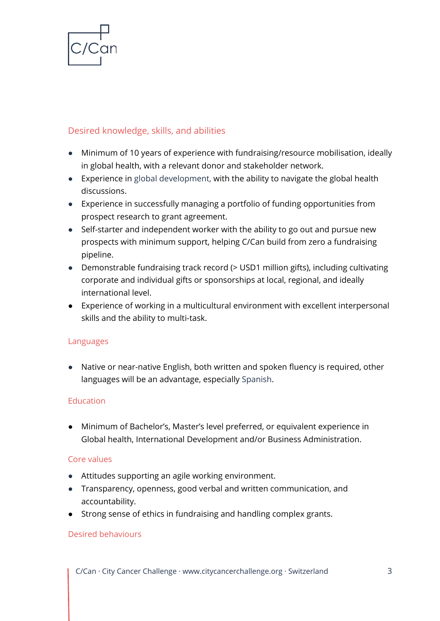

## Desired knowledge, skills, and abilities

- Minimum of 10 years of experience with fundraising/resource mobilisation, ideally in global health, with a relevant donor and stakeholder network.
- Experience in global development, with the ability to navigate the global health discussions.
- Experience in successfully managing a portfolio of funding opportunities from prospect research to grant agreement.
- Self-starter and independent worker with the ability to go out and pursue new prospects with minimum support, helping C/Can build from zero a fundraising pipeline.
- Demonstrable fundraising track record (> USD1 million gifts), including cultivating corporate and individual gifts or sponsorships at local, regional, and ideally international level.
- Experience of working in a multicultural environment with excellent interpersonal skills and the ability to multi-task.

#### Languages

● Native or near-native English, both written and spoken fluency is required, other languages will be an advantage, especially Spanish.

## Education

● Minimum of Bachelor's, Master's level preferred, or equivalent experience in Global health, International Development and/or Business Administration.

#### Core values

- Attitudes supporting an agile working environment.
- Transparency, openness, good verbal and written communication, and accountability.
- Strong sense of ethics in fundraising and handling complex grants.

#### Desired behaviours

C/Can · City Cancer Challenge · [www.citycancerchallenge.org](http://www.citycancerchallenge.org/) · Switzerland 3